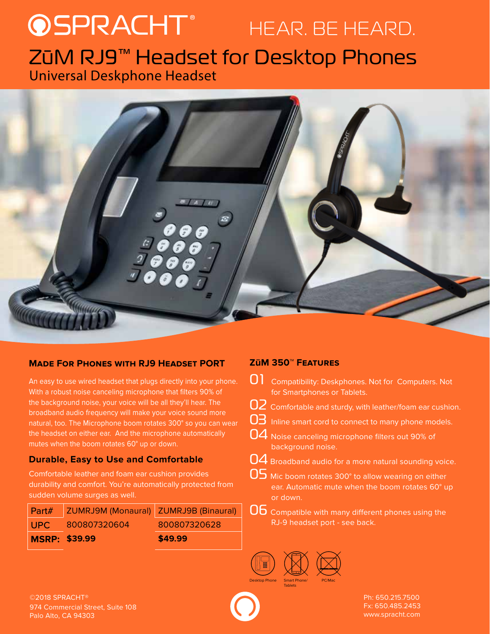# PRACHT<sup>®</sup> HEAR. BE HEARD. ZūM RJ9™ Headset for Desktop Phones Universal Deskphone Headset



# **Made For Phones with RJ9 Headset PORT**

An easy to use wired headset that plugs directly into your phone. With a robust noise canceling microphone that filters 90% of the background noise, your voice will be all they'll hear. The broadband audio frequency will make your voice sound more natural, too. The Microphone boom rotates 300° so you can wear the headset on either ear. And the microphone automatically mutes when the boom rotates 60° up or down.

# **Durable, Easy to Use and Comfortable**

Comfortable leather and foam ear cushion provides durability and comfort. You're automatically protected from sudden volume surges as well.

|                      | Part#   ZUMRJ9M (Monaural)   ZUMRJ9B (Binaural) |              |
|----------------------|-------------------------------------------------|--------------|
| LUPC.                | 800807320604                                    | 800807320628 |
| <b>MSRP: \$39.99</b> |                                                 | \$49.99      |

# **ZūM 350™ Features**

- **01** Compatibility: Deskphones. Not for Computers. Not for Smartphones or Tablets.
- 02 Comfortable and sturdy, with leather/foam ear cushion.
- 03 Inline smart cord to connect to many phone models.
- 04 Noise canceling microphone filters out 90% of background noise.
- 04 Broadband audio for a more natural sounding voice.
- 05 Mic boom rotates 300° to allow wearing on either ear. Automatic mute when the boom rotates 60° up or down.
- **Ob** Compatible with many different phones using the RJ-9 headset port - see back.



©2018 SPRACHT® Ph: 650.215.7500 974 Commercial Street, Suite 108 Palo Alto, CA 94303

Fx: 650.485.2453 www.spracht.com